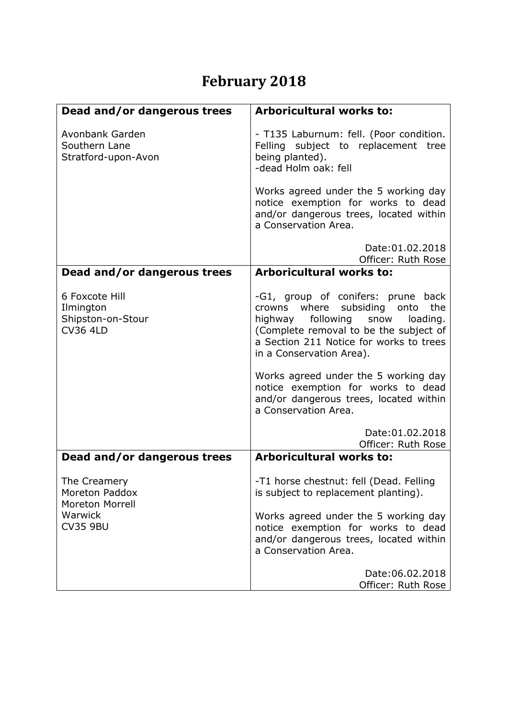## **February 2018**

| Dead and/or dangerous trees                                                                   | <b>Arboricultural works to:</b>                                                                                                                                                                                                                                                     |
|-----------------------------------------------------------------------------------------------|-------------------------------------------------------------------------------------------------------------------------------------------------------------------------------------------------------------------------------------------------------------------------------------|
| Avonbank Garden<br>Southern Lane<br>Stratford-upon-Avon                                       | - T135 Laburnum: fell. (Poor condition.<br>Felling subject to replacement tree<br>being planted).<br>-dead Holm oak: fell                                                                                                                                                           |
|                                                                                               | Works agreed under the 5 working day<br>notice exemption for works to dead<br>and/or dangerous trees, located within<br>a Conservation Area.                                                                                                                                        |
|                                                                                               | Date: 01.02.2018<br>Officer: Ruth Rose                                                                                                                                                                                                                                              |
| Dead and/or dangerous trees                                                                   | <b>Arboricultural works to:</b>                                                                                                                                                                                                                                                     |
| 6 Foxcote Hill<br>Ilmington<br>Shipston-on-Stour<br><b>CV36 4LD</b>                           | -G1, group of conifers: prune back<br>where subsiding<br>the<br>onto<br>crowns<br>following<br>highway<br>snow<br>loading.<br>(Complete removal to be the subject of<br>a Section 211 Notice for works to trees<br>in a Conservation Area).<br>Works agreed under the 5 working day |
|                                                                                               | notice exemption for works to dead<br>and/or dangerous trees, located within<br>a Conservation Area.                                                                                                                                                                                |
|                                                                                               | Date: 01.02.2018<br>Officer: Ruth Rose                                                                                                                                                                                                                                              |
| Dead and/or dangerous trees                                                                   | <b>Arboricultural works to:</b>                                                                                                                                                                                                                                                     |
| The Creamery<br>Moreton Paddox<br><b>Moreton Morrell</b><br><b>Warwick</b><br><b>CV35 9BU</b> | -T1 horse chestnut: fell (Dead. Felling<br>is subject to replacement planting).                                                                                                                                                                                                     |
|                                                                                               | Works agreed under the 5 working day<br>notice exemption for works to dead<br>and/or dangerous trees, located within<br>a Conservation Area.                                                                                                                                        |
|                                                                                               | Date: 06.02.2018<br>Officer: Ruth Rose                                                                                                                                                                                                                                              |